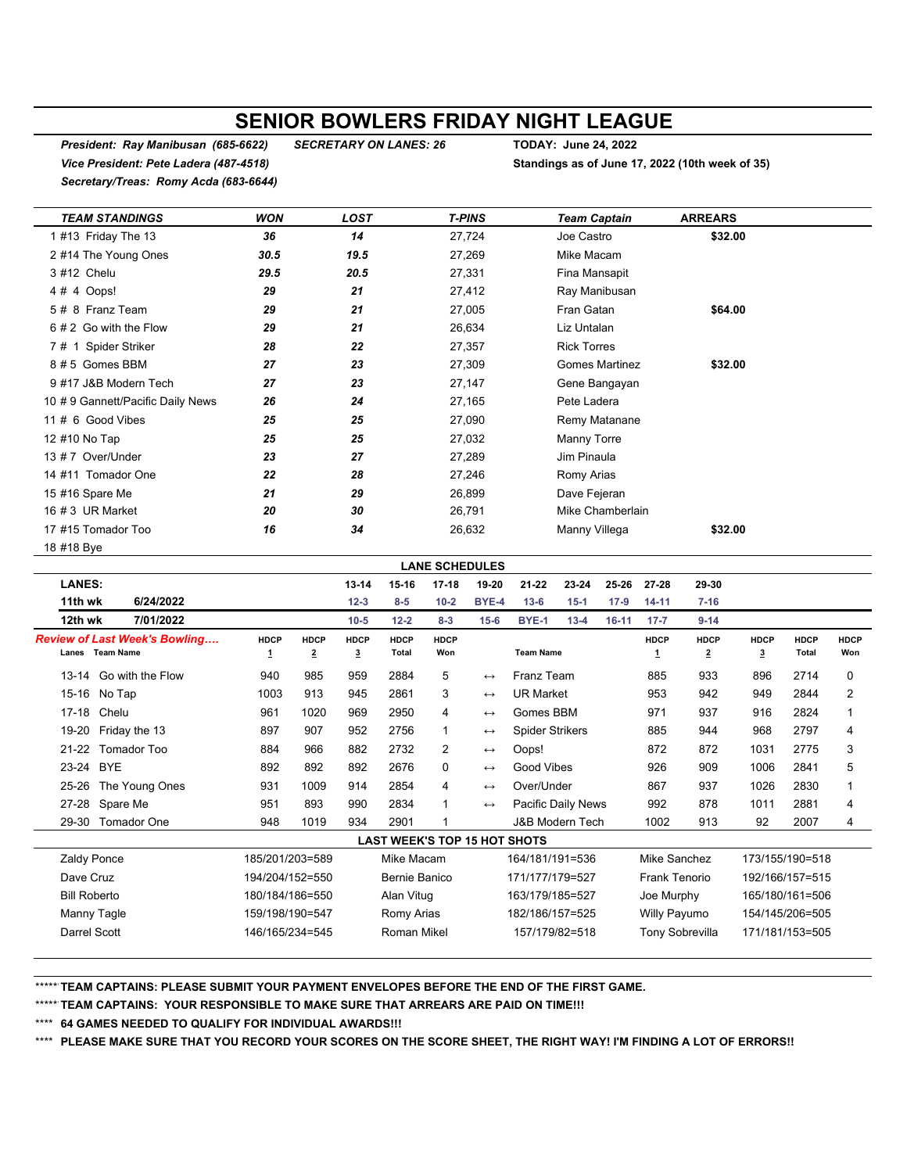## **SENIOR BOWLERS FRIDAY NIGHT LEAGUE**

*President: Ray Manibusan (685-6622) SECRETARY ON LANES: 26* **TODAY: June 24, 2022** *Vice President: Pete Ladera (487-4518)* **Standings as of June 17, 2022 (10th week of 35)** *Secretary/Treas: Romy Acda (683-6644)*

| <b>TEAM STANDINGS</b>             | <b>WON</b> | <b>LOST</b> | <b>T-PINS</b> | <b>Team Captain</b>   | <b>ARREARS</b> |  |
|-----------------------------------|------------|-------------|---------------|-----------------------|----------------|--|
| 1 #13 Friday The 13               | 36         | 14          | 27,724        | Joe Castro            | \$32.00        |  |
| 2 #14 The Young Ones              | 30.5       | 19.5        | 27,269        | Mike Macam            |                |  |
| 3 #12 Chelu                       | 29.5       | 20.5        | 27,331        | Fina Mansapit         |                |  |
| 4 # 4 Oops!                       | 29         | 21          | 27,412        | Ray Manibusan         |                |  |
| 5 # 8 Franz Team                  | 29         | 21          | 27,005        | Fran Gatan            | \$64.00        |  |
| 6 # 2 Go with the Flow            | 29         | 21          | 26,634        | Liz Untalan           |                |  |
| 7# 1 Spider Striker               | 28         | 22          | 27,357        | <b>Rick Torres</b>    |                |  |
| 8#5 Gomes BBM                     | 27         | 23          | 27,309        | <b>Gomes Martinez</b> | \$32.00        |  |
| 9 #17 J&B Modern Tech             | 27         | 23          | 27,147        | Gene Bangayan         |                |  |
| 10 # 9 Gannett/Pacific Daily News | 26         | 24          | 27,165        | Pete Ladera           |                |  |
| 11 # 6 Good Vibes                 | 25         | 25          | 27,090        | Remy Matanane         |                |  |
| 12 #10 No Tap                     | 25         | 25          | 27,032        | Manny Torre           |                |  |
| 13 # 7 Over/Under                 | 23         | 27          | 27,289        | Jim Pinaula           |                |  |
| 14 #11 Tomador One                | 22         | 28          | 27,246        | Romy Arias            |                |  |
| 15 #16 Spare Me                   | 21         | 29          | 26,899        | Dave Fejeran          |                |  |
| 16 # 3 UR Market                  | 20         | 30          | 26,791        | Mike Chamberlain      |                |  |
| 17 #15 Tomador Too                | 16         | 34          | 26,632        | Manny Villega         | \$32.00        |  |
| 18 #18 Bye                        |            |             |               |                       |                |  |

**LANES: 13-14 15-16 17-18 19-20 21-22 23-24 25-26 27-28 29-30 11th wk 6/24/2022 12-3 8-5 10-2 BYE-4 13-6 15-1 17-9 14-11 7-16 12th wk 7/01/2022 10-5 12-2 8-3 15-6 BYE-1 13-4 16-11 17-7 9-14** *Review of Last Week's Bowling….* **HDCP HDCP HDCP HDCP HDCP HDCP HDCP HDCP HDCP HDCP Lanes Team Name 1 2 3 Total Won Team Name 1 2 3 Total Won** 13-14 Go with the Flow 940 985 959 2884 5 ↔ Franz Team 885 933 896 2714 0 15-16 No Tap 1003 913 945 2861 3 ↔ UR Market 953 942 949 2844 2 17-18 Chelu 961 1020 969 2950 4 ↔ Gomes BBM 971 937 916 2824 1 19-20 Friday the 13 6897 907 952 2756 1 → Spider Strikers 885 944 968 2797 4 21-22 Tomador Too 884 966 882 2732 2 ↔ Oops! 872 872 1031 2775 3 23-24 BYE 892 892 2676 0 Good Vibes 926 909 1006 2841 5 25-26 The Young Ones 931 1009 914 2854 4 ↔ Over/Under 867 937 1026 2830 1 27-28 Spare Me 951 893 990 2834 1 ← Pacific Daily News 992 878 1011 2881 4 29-30 Tomador One 948 1019 934 2901 1 J&B Modern Tech 1002 913 92 2007 4 Zaldy Ponce 185/201/203=589 Mike Macam 164/181/191=536 Mike Sanchez 173/155/190=518 Dave Cruz 194/204/152=550 Bernie Banico 171/177/179=527 Frank Tenorio 192/166/157=515 Bill Roberto 180/184/186=550 Alan Vitug 163/179/185=527 Joe Murphy 165/180/161=506 Manny Tagle 159/198/198/190=547 Romy Arias 182/186/157=525 Willy Payumo 154/145/206=505 Darrel Scott **146/165/234=545** Roman Mikel 157/179/82=518 Tony Sobrevilla 171/181/153=505 **LANE SCHEDULES LAST WEEK'S TOP 15 HOT SHOTS**

\*\*\*\*\*\***TEAM CAPTAINS: PLEASE SUBMIT YOUR PAYMENT ENVELOPES BEFORE THE END OF THE FIRST GAME.**

\*\*\*\*\*\***TEAM CAPTAINS: YOUR RESPONSIBLE TO MAKE SURE THAT ARREARS ARE PAID ON TIME!!!**

\*\*\*\* **64 GAMES NEEDED TO QUALIFY FOR INDIVIDUAL AWARDS!!!**

\*\*\*\* **PLEASE MAKE SURE THAT YOU RECORD YOUR SCORES ON THE SCORE SHEET, THE RIGHT WAY! I'M FINDING A LOT OF ERRORS!!**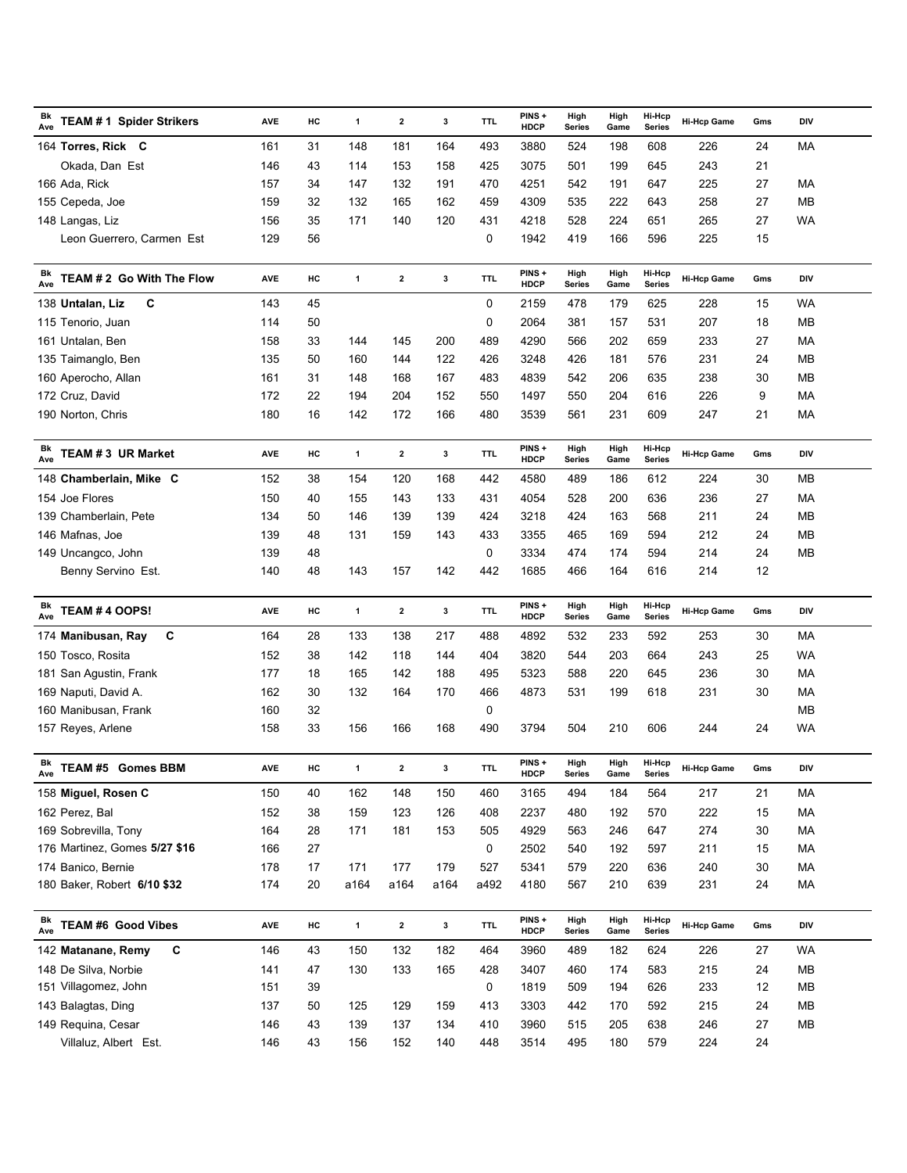| Bk<br><b>TEAM #1 Spider Strikers</b><br>Ave | <b>AVE</b> | HC | $\mathbf{1}$ | $\mathbf{2}$ | 3    | <b>TTL</b> | PINS+<br><b>HDCP</b> | High<br><b>Series</b> | High<br>Game | Hi-Hcp<br><b>Series</b> | <b>Hi-Hcp Game</b> | Gms | DIV       |
|---------------------------------------------|------------|----|--------------|--------------|------|------------|----------------------|-----------------------|--------------|-------------------------|--------------------|-----|-----------|
| 164 Torres, Rick C                          | 161        | 31 | 148          | 181          | 164  | 493        | 3880                 | 524                   | 198          | 608                     | 226                | 24  | MA        |
| Okada, Dan Est                              | 146        | 43 | 114          | 153          | 158  | 425        | 3075                 | 501                   | 199          | 645                     | 243                | 21  |           |
| 166 Ada, Rick                               | 157        | 34 | 147          | 132          | 191  | 470        | 4251                 | 542                   | 191          | 647                     | 225                | 27  | MA        |
| 155 Cepeda, Joe                             | 159        | 32 | 132          | 165          | 162  | 459        | 4309                 | 535                   | 222          | 643                     | 258                | 27  | MB        |
| 148 Langas, Liz                             | 156        | 35 | 171          | 140          | 120  | 431        | 4218                 | 528                   | 224          | 651                     | 265                | 27  | WA        |
| Leon Guerrero, Carmen Est                   | 129        | 56 |              |              |      | 0          | 1942                 | 419                   | 166          | 596                     | 225                | 15  |           |
| Bk<br>TEAM # 2 Go With The Flow<br>Ave      | <b>AVE</b> | HC | $\mathbf{1}$ | $\mathbf{2}$ | 3    | <b>TTL</b> | PINS+<br><b>HDCP</b> | High<br><b>Series</b> | High<br>Game | Hi-Hcp<br><b>Series</b> | <b>Hi-Hcp Game</b> | Gms | DIV       |
| С<br>138 Untalan, Liz                       | 143        | 45 |              |              |      | 0          | 2159                 | 478                   | 179          | 625                     | 228                | 15  | WA        |
| 115 Tenorio, Juan                           | 114        | 50 |              |              |      | 0          | 2064                 | 381                   | 157          | 531                     | 207                | 18  | MB        |
| 161 Untalan, Ben                            | 158        | 33 | 144          | 145          | 200  | 489        | 4290                 | 566                   | 202          | 659                     | 233                | 27  | МA        |
| 135 Taimanglo, Ben                          | 135        | 50 | 160          | 144          | 122  | 426        | 3248                 | 426                   | 181          | 576                     | 231                | 24  | MB        |
| 160 Aperocho, Allan                         | 161        | 31 | 148          | 168          | 167  | 483        | 4839                 | 542                   | 206          | 635                     | 238                | 30  | MB        |
| 172 Cruz, David                             | 172        | 22 | 194          | 204          | 152  | 550        | 1497                 | 550                   | 204          | 616                     | 226                | 9   | MA        |
| 190 Norton, Chris                           | 180        | 16 | 142          | 172          | 166  | 480        | 3539                 | 561                   | 231          | 609                     | 247                | 21  | МA        |
|                                             |            |    |              |              |      |            |                      |                       |              |                         |                    |     |           |
| Βk<br>TEAM #3 UR Market<br>Ave              | <b>AVE</b> | HC | $\mathbf{1}$ | $\mathbf{2}$ | 3    | <b>TTL</b> | PINS+<br><b>HDCP</b> | High<br><b>Series</b> | High<br>Game | Hi-Hcp<br><b>Series</b> | <b>Hi-Hcp Game</b> | Gms | DIV       |
| 148 Chamberlain, Mike C                     | 152        | 38 | 154          | 120          | 168  | 442        | 4580                 | 489                   | 186          | 612                     | 224                | 30  | MВ        |
| 154 Joe Flores                              | 150        | 40 | 155          | 143          | 133  | 431        | 4054                 | 528                   | 200          | 636                     | 236                | 27  | MA        |
| 139 Chamberlain, Pete                       | 134        | 50 | 146          | 139          | 139  | 424        | 3218                 | 424                   | 163          | 568                     | 211                | 24  | MВ        |
| 146 Mafnas, Joe                             | 139        | 48 | 131          | 159          | 143  | 433        | 3355                 | 465                   | 169          | 594                     | 212                | 24  | MB        |
| 149 Uncangco, John                          | 139        | 48 |              |              |      | 0          | 3334                 | 474                   | 174          | 594                     | 214                | 24  | MB        |
| Benny Servino Est.                          | 140        | 48 | 143          | 157          | 142  | 442        | 1685                 | 466                   | 164          | 616                     | 214                | 12  |           |
| Bk<br>TEAM # 4 OOPS!<br>Ave                 | <b>AVE</b> | HC | $\mathbf{1}$ | $\mathbf{2}$ | 3    | <b>TTL</b> | PINS+<br><b>HDCP</b> | High<br><b>Series</b> | High<br>Game | Hi-Hcp<br><b>Series</b> | <b>Hi-Hcp Game</b> | Gms | DIV       |
| С<br>174 Manibusan, Ray                     | 164        | 28 | 133          | 138          | 217  | 488        | 4892                 | 532                   | 233          | 592                     | 253                | 30  | МA        |
| 150 Tosco, Rosita                           | 152        | 38 | 142          | 118          | 144  | 404        | 3820                 | 544                   | 203          | 664                     | 243                | 25  | WA        |
| 181 San Agustin, Frank                      | 177        | 18 | 165          | 142          | 188  | 495        | 5323                 | 588                   | 220          | 645                     | 236                | 30  | MA        |
| 169 Naputi, David A.                        | 162        | 30 | 132          | 164          | 170  | 466        | 4873                 | 531                   | 199          | 618                     | 231                | 30  | МA        |
| 160 Manibusan, Frank                        | 160        | 32 |              |              |      | 0          |                      |                       |              |                         |                    |     | MB        |
| 157 Reyes, Arlene                           | 158        | 33 | 156          | 166          | 168  | 490        | 3794                 | 504                   | 210          | 606                     | 244                | 24  | <b>WA</b> |
| Bk<br>TEAM #5 Gomes BBM<br>Ave              | AVE        | HC | 1            | 2            | 3    | <b>TTL</b> | PINS+<br>HDCP        | High<br>Series        | High<br>Game | Hi-Hcp<br>Series        | Hi-Hcp Game        | Gms | DIV       |
| 158 Miguel, Rosen C                         | 150        | 40 | 162          | 148          | 150  | 460        | 3165                 | 494                   | 184          | 564                     | 217                | 21  | MA        |
| 162 Perez, Bal                              | 152        | 38 | 159          | 123          | 126  | 408        | 2237                 | 480                   | 192          | 570                     | 222                | 15  | МA        |
| 169 Sobrevilla, Tony                        | 164        | 28 | 171          | 181          | 153  | 505        | 4929                 | 563                   | 246          | 647                     | 274                | 30  | MA        |
| 176 Martinez, Gomes 5/27 \$16               | 166        | 27 |              |              |      | 0          | 2502                 | 540                   | 192          | 597                     | 211                | 15  | MA        |
| 174 Banico, Bernie                          | 178        | 17 | 171          | 177          | 179  | 527        | 5341                 | 579                   | 220          | 636                     | 240                | 30  | MA        |
| 180 Baker, Robert 6/10 \$32                 | 174        | 20 | a164         | a164         | a164 | a492       | 4180                 | 567                   | 210          | 639                     | 231                | 24  | МA        |
|                                             |            |    |              |              |      |            |                      |                       |              |                         |                    |     |           |
| Bk<br><b>TEAM #6 Good Vibes</b><br>Ave      | AVE        | HC | $\mathbf{1}$ | $\mathbf{2}$ | 3    | <b>TTL</b> | PINS+<br><b>HDCP</b> | High<br>Series        | High<br>Game | Hi-Hcp<br><b>Series</b> | <b>Hi-Hcp Game</b> | Gms | DIV       |
| С<br>142 Matanane, Remy                     | 146        | 43 | 150          | 132          | 182  | 464        | 3960                 | 489                   | 182          | 624                     | 226                | 27  | WA        |
| 148 De Silva, Norbie                        | 141        | 47 | 130          | 133          | 165  | 428        | 3407                 | 460                   | 174          | 583                     | 215                | 24  | MB        |
| 151 Villagomez, John                        | 151        | 39 |              |              |      | 0          | 1819                 | 509                   | 194          | 626                     | 233                | 12  | MB        |
| 143 Balagtas, Ding                          | 137        | 50 | 125          | 129          | 159  | 413        | 3303                 | 442                   | 170          | 592                     | 215                | 24  | MB        |
| 149 Requina, Cesar                          | 146        | 43 | 139          | 137          | 134  | 410        | 3960                 | 515                   | 205          | 638                     | 246                | 27  | MB        |
| Villaluz, Albert Est.                       | 146        | 43 | 156          | 152          | 140  | 448        | 3514                 | 495                   | 180          | 579                     | 224                | 24  |           |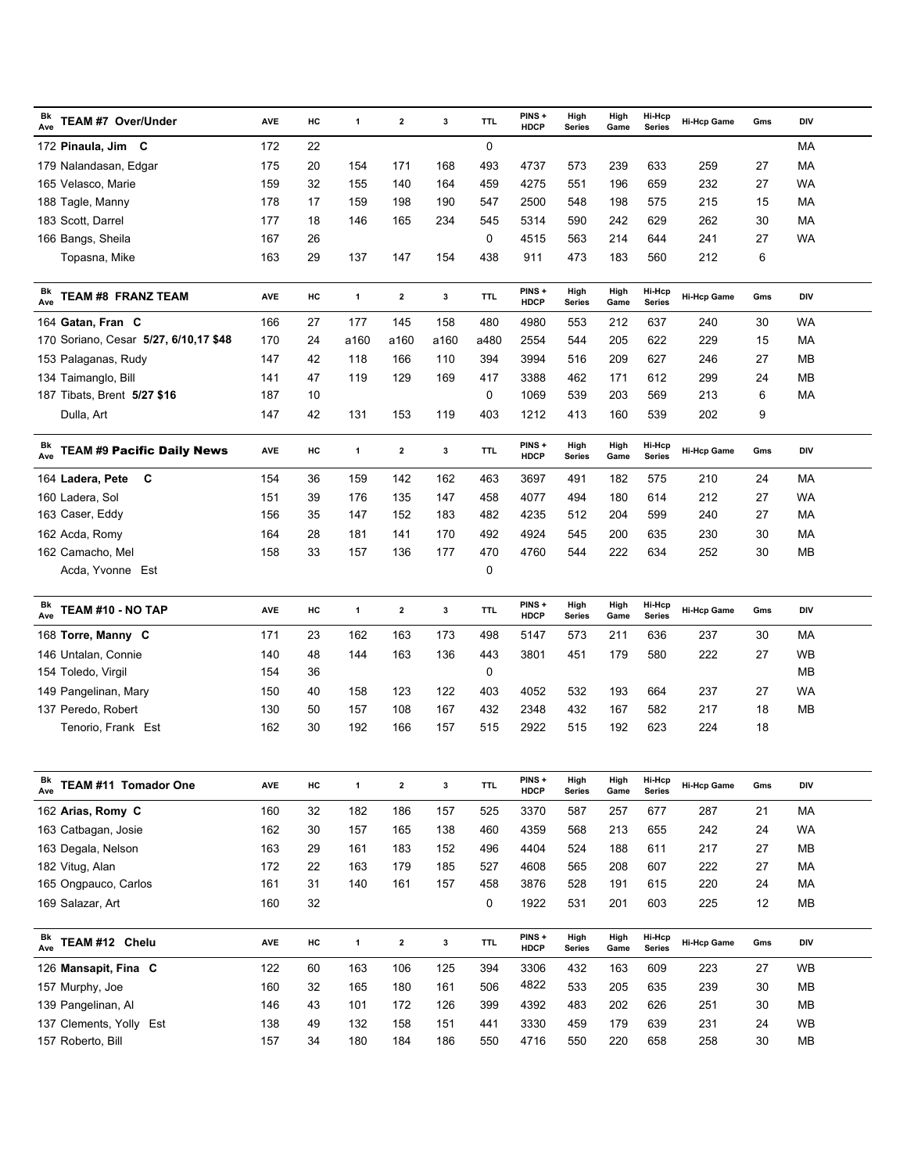| Bk<br>TEAM #7 Over/Under<br>Ave                | <b>AVE</b> | HC     | 1            | $\overline{\mathbf{2}}$ | 3    | TTL        | PINS+<br><b>HDCP</b>  | High<br><b>Series</b> | High<br>Game | Hi-Hcp<br><b>Series</b> | <b>Hi-Hcp Game</b> | Gms | DIV        |
|------------------------------------------------|------------|--------|--------------|-------------------------|------|------------|-----------------------|-----------------------|--------------|-------------------------|--------------------|-----|------------|
| 172 Pinaula, Jim C                             | 172        | 22     |              |                         |      | 0          |                       |                       |              |                         |                    |     | МA         |
| 179 Nalandasan, Edgar                          | 175        | 20     | 154          | 171                     | 168  | 493        | 4737                  | 573                   | 239          | 633                     | 259                | 27  | МA         |
| 165 Velasco, Marie                             | 159        | 32     | 155          | 140                     | 164  | 459        | 4275                  | 551                   | 196          | 659                     | 232                | 27  | WA         |
| 188 Tagle, Manny                               | 178        | 17     | 159          | 198                     | 190  | 547        | 2500                  | 548                   | 198          | 575                     | 215                | 15  | МA         |
| 183 Scott, Darrel                              | 177        | 18     | 146          | 165                     | 234  | 545        | 5314                  | 590                   | 242          | 629                     | 262                | 30  | МA         |
| 166 Bangs, Sheila                              | 167        | 26     |              |                         |      | 0          | 4515                  | 563                   | 214          | 644                     | 241                | 27  | <b>WA</b>  |
| Topasna, Mike                                  | 163        | 29     | 137          | 147                     | 154  | 438        | 911                   | 473                   | 183          | 560                     | 212                | 6   |            |
| Bk<br><b>TEAM #8 FRANZ TEAM</b>                | <b>AVE</b> | HC     | $\mathbf{1}$ | $\mathbf{2}$            | 3    | <b>TTL</b> | PINS+                 | High                  | High         | Hi-Hcp                  | <b>Hi-Hcp Game</b> | Gms | <b>DIV</b> |
| Ave                                            |            |        |              |                         |      |            | <b>HDCP</b>           | <b>Series</b>         | Game         | <b>Series</b>           |                    |     |            |
| 164 Gatan, Fran C                              | 166        | 27     | 177          | 145                     | 158  | 480        | 4980                  | 553                   | 212          | 637                     | 240                | 30  | WA         |
| 170 Soriano, Cesar 5/27, 6/10,17 \$48          | 170        | 24     | a160         | a160                    | a160 | a480       | 2554                  | 544                   | 205          | 622                     | 229                | 15  | МA         |
| 153 Palaganas, Rudy                            | 147        | 42     | 118          | 166                     | 110  | 394        | 3994                  | 516                   | 209          | 627                     | 246                | 27  | MВ         |
| 134 Taimanglo, Bill                            | 141        | 47     | 119          | 129                     | 169  | 417        | 3388                  | 462                   | 171          | 612                     | 299                | 24  | MВ         |
| 187 Tibats, Brent 5/27 \$16                    | 187        | 10     |              |                         |      | 0          | 1069                  | 539                   | 203          | 569                     | 213                | 6   | МA         |
| Dulla, Art                                     | 147        | 42     | 131          | 153                     | 119  | 403        | 1212                  | 413                   | 160          | 539                     | 202                | 9   |            |
| Bk<br><b>TEAM #9 Pacific Daily News</b><br>Ave | <b>AVE</b> | HC     | $\mathbf{1}$ | $\mathbf{2}$            | 3    | <b>TTL</b> | PINS +<br><b>HDCP</b> | High<br>Series        | High<br>Game | Hi-Hcp<br>Series        | <b>Hi-Hcp Game</b> | Gms | <b>DIV</b> |
| 164 Ladera, Pete<br>C                          | 154        | 36     | 159          | 142                     | 162  | 463        | 3697                  | 491                   | 182          | 575                     | 210                | 24  | МA         |
| 160 Ladera, Sol                                | 151        | 39     | 176          | 135                     | 147  | 458        | 4077                  | 494                   | 180          | 614                     | 212                | 27  | WA         |
| 163 Caser, Eddy                                | 156        | 35     | 147          | 152                     | 183  | 482        | 4235                  | 512                   | 204          | 599                     | 240                | 27  | МA         |
| 162 Acda, Romy                                 | 164        | 28     | 181          | 141                     | 170  | 492        | 4924                  | 545                   | 200          | 635                     | 230                | 30  | МA         |
| 162 Camacho, Mel                               | 158        | 33     | 157          | 136                     | 177  | 470        | 4760                  | 544                   | 222          | 634                     | 252                | 30  | MВ         |
| Acda, Yvonne Est                               |            |        |              |                         |      | 0          |                       |                       |              |                         |                    |     |            |
| Bk<br>TEAM #10 - NO TAP<br>Ave                 | <b>AVE</b> | HC     | $\mathbf{1}$ | $\overline{\mathbf{2}}$ | 3    | TTL.       | PINS+<br><b>HDCP</b>  | High<br>Series        | High<br>Game | Hi-Hcp<br>Series        | <b>Hi-Hcp Game</b> | Gms | <b>DIV</b> |
| 168 Torre, Manny C                             | 171        | 23     | 162          | 163                     | 173  | 498        | 5147                  | 573                   | 211          | 636                     | 237                | 30  | МA         |
| 146 Untalan, Connie                            | 140        | 48     | 144          | 163                     | 136  | 443        | 3801                  | 451                   | 179          | 580                     | 222                | 27  | <b>WB</b>  |
| 154 Toledo, Virgil                             | 154        | 36     |              |                         |      | 0          |                       |                       |              |                         |                    |     | ΜВ         |
| 149 Pangelinan, Mary                           | 150        | 40     | 158          | 123                     | 122  | 403        | 4052                  | 532                   | 193          | 664                     | 237                | 27  | WA         |
| 137 Peredo, Robert                             | 130        | 50     | 157          | 108                     | 167  | 432        | 2348                  | 432                   | 167          | 582                     | 217                | 18  | MВ         |
| Tenorio, Frank Est                             | 162        | 30     | 192          | 166                     | 157  | 515        | 2922                  | 515                   | 192          | 623                     | 224                | 18  |            |
|                                                |            |        |              |                         |      |            |                       |                       |              |                         |                    |     |            |
| Bk<br>TEAM #11 Tomador One<br>Ave              | AVE        | HC     | $\mathbf{1}$ | $\mathbf{2}$            | 3    | <b>TTL</b> | PINS+<br><b>HDCP</b>  | High<br><b>Series</b> | High<br>Game | Hi-Hcp<br><b>Series</b> | <b>Hi-Hcp Game</b> | Gms | DIV        |
| 162 Arias, Romy C                              | 160        | 32     | 182          | 186                     | 157  | 525        | 3370                  | 587                   | 257          | 677                     | 287                | 21  | MA         |
| 163 Catbagan, Josie                            | 162        | $30\,$ | 157          | 165                     | 138  | 460        | 4359                  | 568                   | 213          | 655                     | 242                | 24  | WA         |
| 163 Degala, Nelson                             | 163        | 29     | 161          | 183                     | 152  | 496        | 4404                  | 524                   | 188          | 611                     | 217                | 27  | MB         |
| 182 Vitug, Alan                                | 172        | 22     | 163          | 179                     | 185  | 527        | 4608                  | 565                   | 208          | 607                     | 222                | 27  | МA         |
| 165 Ongpauco, Carlos                           | 161        | 31     | 140          | 161                     | 157  | 458        | 3876                  | 528                   | 191          | 615                     | 220                | 24  | MA         |
| 169 Salazar, Art                               | 160        | 32     |              |                         |      | 0          | 1922                  | 531                   | 201          | 603                     | 225                | 12  | MB         |
| Bk<br>TEAM #12 Chelu<br>Ave                    | AVE        | HC     | $\mathbf{1}$ | $\boldsymbol{2}$        | 3    | <b>TTL</b> | PINS+<br><b>HDCP</b>  | High<br>Series        | High<br>Game | Hi-Hcp<br>Series        | <b>Hi-Hcp Game</b> | Gms | <b>DIV</b> |
| 126 Mansapit, Fina C                           | 122        | 60     | 163          | 106                     | 125  | 394        | 3306                  | 432                   | 163          | 609                     | 223                | 27  | WB         |
| 157 Murphy, Joe                                | 160        | 32     | 165          | 180                     | 161  | 506        | 4822                  | 533                   | 205          | 635                     | 239                | 30  | MB         |
| 139 Pangelinan, Al                             | 146        | 43     | 101          | 172                     | 126  | 399        | 4392                  | 483                   | 202          | 626                     | 251                | 30  | MB         |
| 137 Clements, Yolly Est                        | 138        | 49     | 132          | 158                     | 151  | 441        | 3330                  | 459                   | 179          | 639                     | 231                | 24  | <b>WB</b>  |
| 157 Roberto, Bill                              | 157        | 34     | 180          | 184                     | 186  | 550        | 4716                  | 550                   | 220          | 658                     | 258                | 30  | MB         |
|                                                |            |        |              |                         |      |            |                       |                       |              |                         |                    |     |            |